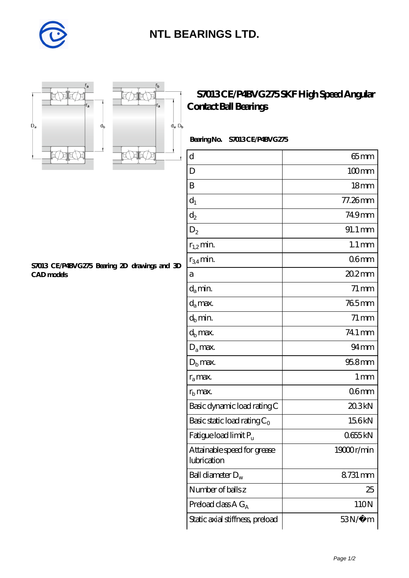

## **[NTL BEARINGS LTD.](https://m.diabetesfriends.net)**





r,

r<sub>a</sub>

## **[S7013 CE/P4BVG275 SKF High Speed Angular](https://m.diabetesfriends.net/skf-bearing/s7013-ce-p4bvg275.html) [Contact Ball Bearings](https://m.diabetesfriends.net/skf-bearing/s7013-ce-p4bvg275.html)**

Bearing No. S7013 CE/P4BVG275

| $\rm d$                                    | $65$ mm             |
|--------------------------------------------|---------------------|
| D                                          | $100$ mm            |
| B                                          | 18 <sub>mm</sub>    |
| $d_1$                                      | 77.26mm             |
| $\mathrm{d}_2$                             | 749mm               |
| $D_2$                                      | 91.1 mm             |
| $r_{1,2}$ min.                             | $1.1 \,\mathrm{mm}$ |
| $r_{34}$ min.                              | 06 <sub>mm</sub>    |
| а                                          | $202$ mm            |
| $d_a$ min.                                 | $71 \,\mathrm{mm}$  |
| $d_a$ max.                                 | 765mm               |
| $d_b$ min.                                 | 71 mm               |
| $d_h$ max.                                 | 74.1 mm             |
| $D_a$ max.                                 | $94 \text{mm}$      |
| $Db$ max.                                  | 95.8mm              |
| $r_a$ max.                                 | $1 \,\mathrm{mm}$   |
| $r_{\rm b}$ max.                           | 06mm                |
| Basic dynamic load rating C                | 20.3kN              |
| Basic static load rating $C_0$             | 156kN               |
| Fatigue load limit Pu                      | 0655kN              |
| Attainable speed for grease<br>lubrication | 19000r/min          |
| Ball diameter $D_w$                        | 8731 mm             |
| Number of balls z                          | 25                  |
| Preload class $AG_A$                       | 110N                |
| Static axial stiffness, preload            | $53N/\mu$ m         |

**[S7013 CE/P4BVG275 Bearing 2D drawings and 3D](https://m.diabetesfriends.net/pic-590710.html) [CAD models](https://m.diabetesfriends.net/pic-590710.html)**